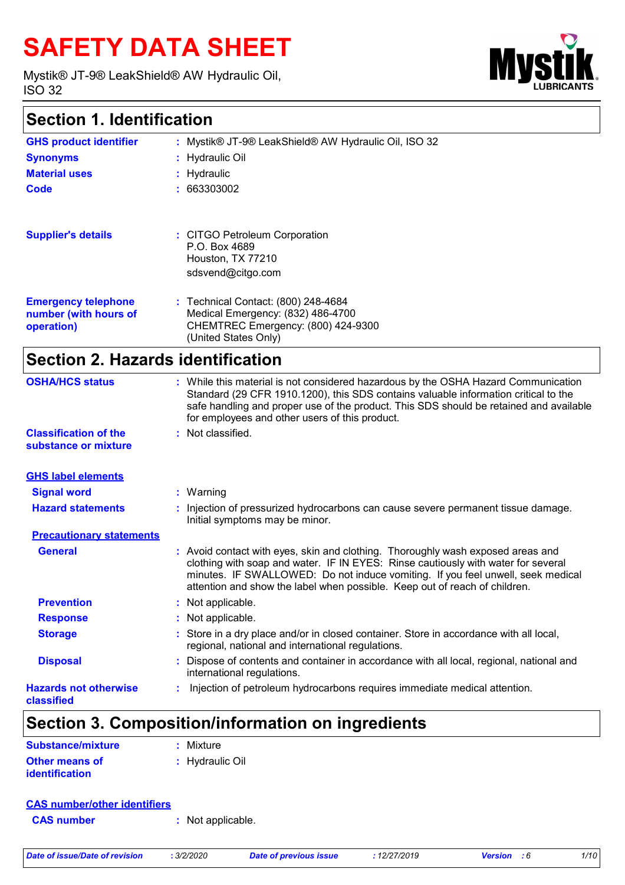# **SAFETY DATA SHEET**

Mystik® JT-9® LeakShield® AW Hydraulic Oil, ISO 32



### **Section 1. Identification**

| <b>GHS product identifier</b>                                     | : Mystik® JT-9® LeakShield® AW Hydraulic Oil, ISO 32                                                                                   |
|-------------------------------------------------------------------|----------------------------------------------------------------------------------------------------------------------------------------|
| <b>Synonyms</b>                                                   | : Hydraulic Oil                                                                                                                        |
| <b>Material uses</b>                                              | $:$ Hydraulic                                                                                                                          |
| Code                                                              | : 663303002                                                                                                                            |
|                                                                   |                                                                                                                                        |
| <b>Supplier's details</b>                                         | : CITGO Petroleum Corporation<br>P.O. Box 4689<br>Houston, TX 77210<br>sdsvend@citgo.com                                               |
| <b>Emergency telephone</b><br>number (with hours of<br>operation) | : Technical Contact: (800) 248-4684<br>Medical Emergency: (832) 486-4700<br>CHEMTREC Emergency: (800) 424-9300<br>(United States Only) |
|                                                                   |                                                                                                                                        |

### **Section 2. Hazards identification**

| <b>OSHA/HCS status</b><br><b>Classification of the</b><br>substance or mixture | for employees and other users of this product.<br>: Not classified. | : While this material is not considered hazardous by the OSHA Hazard Communication<br>Standard (29 CFR 1910.1200), this SDS contains valuable information critical to the<br>safe handling and proper use of the product. This SDS should be retained and available                                                                   |
|--------------------------------------------------------------------------------|---------------------------------------------------------------------|---------------------------------------------------------------------------------------------------------------------------------------------------------------------------------------------------------------------------------------------------------------------------------------------------------------------------------------|
|                                                                                |                                                                     |                                                                                                                                                                                                                                                                                                                                       |
| <b>GHS label elements</b>                                                      |                                                                     |                                                                                                                                                                                                                                                                                                                                       |
| <b>Signal word</b>                                                             | $:$ Warning                                                         |                                                                                                                                                                                                                                                                                                                                       |
| <b>Hazard statements</b>                                                       | Initial symptoms may be minor.                                      | : Injection of pressurized hydrocarbons can cause severe permanent tissue damage.                                                                                                                                                                                                                                                     |
| <b>Precautionary statements</b>                                                |                                                                     |                                                                                                                                                                                                                                                                                                                                       |
| <b>General</b>                                                                 |                                                                     | : Avoid contact with eyes, skin and clothing. Thoroughly wash exposed areas and<br>clothing with soap and water. IF IN EYES: Rinse cautiously with water for several<br>minutes. IF SWALLOWED: Do not induce vomiting. If you feel unwell, seek medical<br>attention and show the label when possible. Keep out of reach of children. |
| <b>Prevention</b>                                                              | : Not applicable.                                                   |                                                                                                                                                                                                                                                                                                                                       |
| <b>Response</b>                                                                | : Not applicable.                                                   |                                                                                                                                                                                                                                                                                                                                       |
| <b>Storage</b>                                                                 | regional, national and international regulations.                   | : Store in a dry place and/or in closed container. Store in accordance with all local,                                                                                                                                                                                                                                                |
| <b>Disposal</b>                                                                | international regulations.                                          | : Dispose of contents and container in accordance with all local, regional, national and                                                                                                                                                                                                                                              |
| <b>Hazards not otherwise</b><br>classified                                     |                                                                     | Injection of petroleum hydrocarbons requires immediate medical attention.                                                                                                                                                                                                                                                             |

# **Section 3. Composition/information on ingredients**

| Substance/mixture     | : Mixture       |
|-----------------------|-----------------|
| <b>Other means of</b> | : Hydraulic Oil |
| <i>identification</i> |                 |

#### **CAS number/other identifiers**

**CAS number :** Not applicable.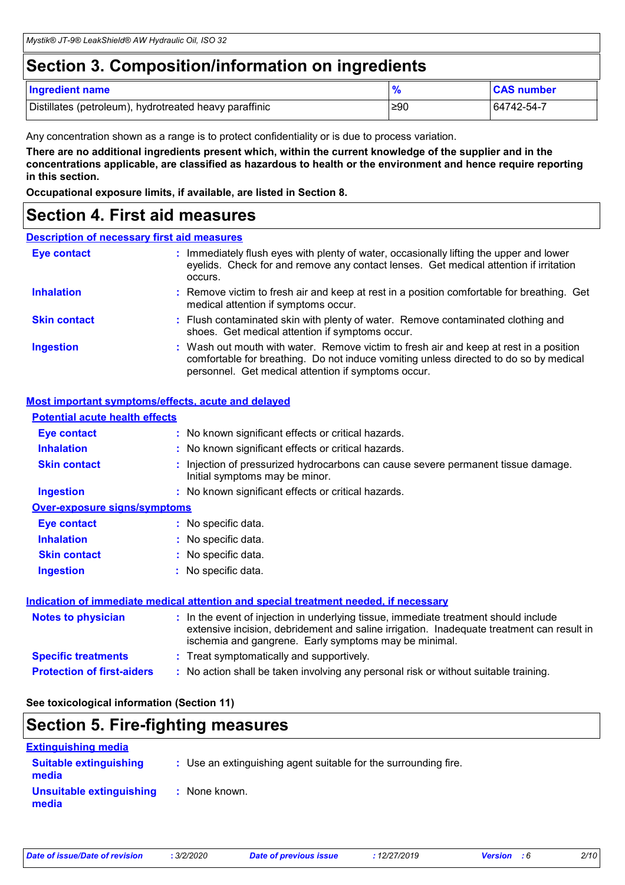### **Section 3. Composition/information on ingredients**

| <b>Ingredient name</b>                                 |     | <b>CAS number</b> |
|--------------------------------------------------------|-----|-------------------|
| Distillates (petroleum), hydrotreated heavy paraffinic | ≥90 | 64742-54-7        |

Any concentration shown as a range is to protect confidentiality or is due to process variation.

**There are no additional ingredients present which, within the current knowledge of the supplier and in the concentrations applicable, are classified as hazardous to health or the environment and hence require reporting in this section.**

**Occupational exposure limits, if available, are listed in Section 8.**

### **Section 4. First aid measures**

#### **Description of necessary first aid measures**

| <b>Eye contact</b>  | : Immediately flush eyes with plenty of water, occasionally lifting the upper and lower<br>eyelids. Check for and remove any contact lenses. Get medical attention if irritation<br>occurs.                                            |
|---------------------|----------------------------------------------------------------------------------------------------------------------------------------------------------------------------------------------------------------------------------------|
| <b>Inhalation</b>   | : Remove victim to fresh air and keep at rest in a position comfortable for breathing. Get<br>medical attention if symptoms occur.                                                                                                     |
| <b>Skin contact</b> | : Flush contaminated skin with plenty of water. Remove contaminated clothing and<br>shoes. Get medical attention if symptoms occur.                                                                                                    |
| <b>Ingestion</b>    | : Wash out mouth with water. Remove victim to fresh air and keep at rest in a position<br>comfortable for breathing. Do not induce vomiting unless directed to do so by medical<br>personnel. Get medical attention if symptoms occur. |

#### **Most important symptoms/effects, acute and delayed**

| <b>Potential acute health effects</b>                                                       |  |                                                                                                                                                                                                                                            |  |  |
|---------------------------------------------------------------------------------------------|--|--------------------------------------------------------------------------------------------------------------------------------------------------------------------------------------------------------------------------------------------|--|--|
| <b>Eye contact</b>                                                                          |  | : No known significant effects or critical hazards.                                                                                                                                                                                        |  |  |
| <b>Inhalation</b>                                                                           |  | : No known significant effects or critical hazards.                                                                                                                                                                                        |  |  |
| <b>Skin contact</b>                                                                         |  | : Injection of pressurized hydrocarbons can cause severe permanent tissue damage.<br>Initial symptoms may be minor.                                                                                                                        |  |  |
| <b>Ingestion</b>                                                                            |  | : No known significant effects or critical hazards.                                                                                                                                                                                        |  |  |
| <b>Over-exposure signs/symptoms</b>                                                         |  |                                                                                                                                                                                                                                            |  |  |
| <b>Eye contact</b>                                                                          |  | : No specific data.                                                                                                                                                                                                                        |  |  |
| <b>Inhalation</b>                                                                           |  | : No specific data.                                                                                                                                                                                                                        |  |  |
| <b>Skin contact</b>                                                                         |  | : No specific data.                                                                                                                                                                                                                        |  |  |
| <b>Ingestion</b>                                                                            |  | : No specific data.                                                                                                                                                                                                                        |  |  |
| <u>Indication of immediate medical attention and special treatment needed, if necessary</u> |  |                                                                                                                                                                                                                                            |  |  |
| <b>Notes to physician</b>                                                                   |  | : In the event of injection in underlying tissue, immediate treatment should include<br>extensive incision, debridement and saline irrigation. Inadequate treatment can result in<br>ischemia and gangrene. Early symptoms may be minimal. |  |  |
| <b>Specific treatments</b>                                                                  |  | : Treat symptomatically and supportively.                                                                                                                                                                                                  |  |  |
| <b>Protection of first-aiders</b>                                                           |  | : No action shall be taken involving any personal risk or without suitable training.                                                                                                                                                       |  |  |

**See toxicological information (Section 11)**

### **Section 5. Fire-fighting measures**

| <b>Extinguishing media</b>             |                                                                 |
|----------------------------------------|-----------------------------------------------------------------|
| <b>Suitable extinguishing</b><br>media | : Use an extinguishing agent suitable for the surrounding fire. |
| Unsuitable extinguishing<br>media      | : None known.                                                   |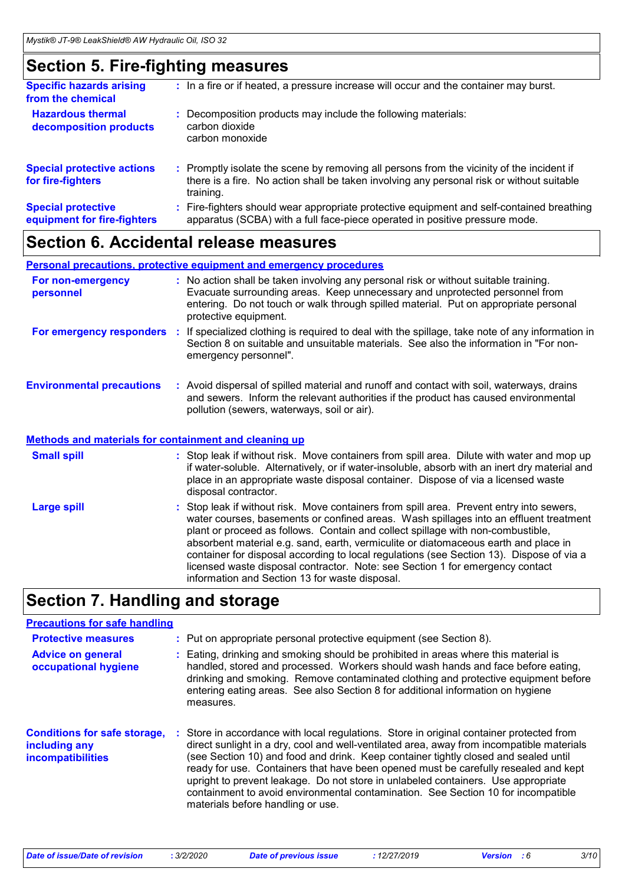# **Section 5. Fire-fighting measures**

| <b>Specific hazards arising</b><br>from the chemical     | : In a fire or if heated, a pressure increase will occur and the container may burst.                                                                                                               |
|----------------------------------------------------------|-----------------------------------------------------------------------------------------------------------------------------------------------------------------------------------------------------|
| <b>Hazardous thermal</b><br>decomposition products       | Decomposition products may include the following materials:<br>carbon dioxide<br>carbon monoxide                                                                                                    |
| <b>Special protective actions</b><br>for fire-fighters   | : Promptly isolate the scene by removing all persons from the vicinity of the incident if<br>there is a fire. No action shall be taken involving any personal risk or without suitable<br>training. |
| <b>Special protective</b><br>equipment for fire-fighters | : Fire-fighters should wear appropriate protective equipment and self-contained breathing<br>apparatus (SCBA) with a full face-piece operated in positive pressure mode.                            |
|                                                          |                                                                                                                                                                                                     |

### **Section 6. Accidental release measures**

#### **Personal precautions, protective equipment and emergency procedures**

| For non-emergency<br>personnel                               |    | : No action shall be taken involving any personal risk or without suitable training.<br>Evacuate surrounding areas. Keep unnecessary and unprotected personnel from<br>entering. Do not touch or walk through spilled material. Put on appropriate personal<br>protective equipment.                                                                                                                                                                    |
|--------------------------------------------------------------|----|---------------------------------------------------------------------------------------------------------------------------------------------------------------------------------------------------------------------------------------------------------------------------------------------------------------------------------------------------------------------------------------------------------------------------------------------------------|
| For emergency responders                                     | ÷. | If specialized clothing is required to deal with the spillage, take note of any information in<br>Section 8 on suitable and unsuitable materials. See also the information in "For non-<br>emergency personnel".                                                                                                                                                                                                                                        |
| <b>Environmental precautions</b>                             |    | : Avoid dispersal of spilled material and runoff and contact with soil, waterways, drains<br>and sewers. Inform the relevant authorities if the product has caused environmental<br>pollution (sewers, waterways, soil or air).                                                                                                                                                                                                                         |
| <b>Methods and materials for containment and cleaning up</b> |    |                                                                                                                                                                                                                                                                                                                                                                                                                                                         |
| <b>Small spill</b>                                           |    | : Stop leak if without risk. Move containers from spill area. Dilute with water and mop up<br>if water-soluble. Alternatively, or if water-insoluble, absorb with an inert dry material and<br>place in an appropriate waste disposal container. Dispose of via a licensed waste<br>disposal contractor.                                                                                                                                                |
| <b>Large spill</b>                                           |    | : Stop leak if without risk. Move containers from spill area. Prevent entry into sewers,<br>water courses, basements or confined areas. Wash spillages into an effluent treatment<br>plant or proceed as follows. Contain and collect spillage with non-combustible,<br>absorbent material e.g. sand, earth, vermiculite or diatomaceous earth and place in<br>container for disposal according to local regulations (see Section 13). Dispose of via a |

# **Section 7. Handling and storage**

### **Precautions for safe handling**

| <b>Protective measures</b>                                                       | : Put on appropriate personal protective equipment (see Section 8).                                                                                                                                                                                                                                                                                                                                                                                                                                                                                                              |
|----------------------------------------------------------------------------------|----------------------------------------------------------------------------------------------------------------------------------------------------------------------------------------------------------------------------------------------------------------------------------------------------------------------------------------------------------------------------------------------------------------------------------------------------------------------------------------------------------------------------------------------------------------------------------|
| <b>Advice on general</b><br>occupational hygiene                                 | Eating, drinking and smoking should be prohibited in areas where this material is<br>handled, stored and processed. Workers should wash hands and face before eating,<br>drinking and smoking. Remove contaminated clothing and protective equipment before<br>entering eating areas. See also Section 8 for additional information on hygiene<br>measures.                                                                                                                                                                                                                      |
| <b>Conditions for safe storage,</b><br>including any<br><b>incompatibilities</b> | Store in accordance with local regulations. Store in original container protected from<br>direct sunlight in a dry, cool and well-ventilated area, away from incompatible materials<br>(see Section 10) and food and drink. Keep container tightly closed and sealed until<br>ready for use. Containers that have been opened must be carefully resealed and kept<br>upright to prevent leakage. Do not store in unlabeled containers. Use appropriate<br>containment to avoid environmental contamination. See Section 10 for incompatible<br>materials before handling or use. |

information and Section 13 for waste disposal.

licensed waste disposal contractor. Note: see Section 1 for emergency contact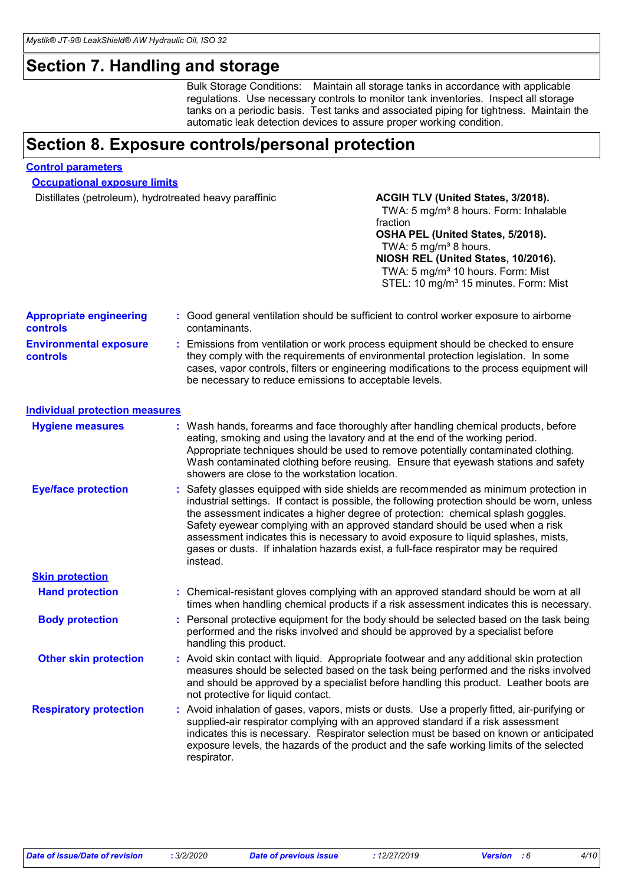# **Section 7. Handling and storage**

Bulk Storage Conditions: Maintain all storage tanks in accordance with applicable regulations. Use necessary controls to monitor tank inventories. Inspect all storage tanks on a periodic basis. Test tanks and associated piping for tightness. Maintain the automatic leak detection devices to assure proper working condition.

### **Section 8. Exposure controls/personal protection**

#### **Control parameters**

**Occupational exposure limits**

Distillates (petroleum), hydrotreated heavy paraffinic **ACGIH TLV (United States, 3/2018).** 

#### TWA: 5 mg/m<sup>3</sup> 8 hours. Form: Inhalable fraction **OSHA PEL (United States, 5/2018).** TWA:  $5 \text{ mg/m}^3$  8 hours. **NIOSH REL (United States, 10/2016).** TWA: 5 mg/m<sup>3</sup> 10 hours. Form: Mist STEL: 10 mg/m<sup>3</sup> 15 minutes. Form: Mist

| <b>Appropriate engineering</b><br><b>controls</b> | : Good general ventilation should be sufficient to control worker exposure to airborne<br>contaminants.                                                                                                                                                                                                                                                                                                                                                                                                                                             |
|---------------------------------------------------|-----------------------------------------------------------------------------------------------------------------------------------------------------------------------------------------------------------------------------------------------------------------------------------------------------------------------------------------------------------------------------------------------------------------------------------------------------------------------------------------------------------------------------------------------------|
| <b>Environmental exposure</b><br><b>controls</b>  | : Emissions from ventilation or work process equipment should be checked to ensure<br>they comply with the requirements of environmental protection legislation. In some<br>cases, vapor controls, filters or engineering modifications to the process equipment will<br>be necessary to reduce emissions to acceptable levels.                                                                                                                                                                                                                     |
| <b>Individual protection measures</b>             |                                                                                                                                                                                                                                                                                                                                                                                                                                                                                                                                                     |
| <b>Hygiene measures</b>                           | : Wash hands, forearms and face thoroughly after handling chemical products, before<br>eating, smoking and using the lavatory and at the end of the working period.<br>Appropriate techniques should be used to remove potentially contaminated clothing.<br>Wash contaminated clothing before reusing. Ensure that eyewash stations and safety<br>showers are close to the workstation location.                                                                                                                                                   |
| <b>Eye/face protection</b>                        | : Safety glasses equipped with side shields are recommended as minimum protection in<br>industrial settings. If contact is possible, the following protection should be worn, unless<br>the assessment indicates a higher degree of protection: chemical splash goggles.<br>Safety eyewear complying with an approved standard should be used when a risk<br>assessment indicates this is necessary to avoid exposure to liquid splashes, mists,<br>gases or dusts. If inhalation hazards exist, a full-face respirator may be required<br>instead. |
| <b>Skin protection</b>                            |                                                                                                                                                                                                                                                                                                                                                                                                                                                                                                                                                     |
| <b>Hand protection</b>                            | : Chemical-resistant gloves complying with an approved standard should be worn at all<br>times when handling chemical products if a risk assessment indicates this is necessary.                                                                                                                                                                                                                                                                                                                                                                    |
| <b>Body protection</b>                            | : Personal protective equipment for the body should be selected based on the task being<br>performed and the risks involved and should be approved by a specialist before<br>handling this product.                                                                                                                                                                                                                                                                                                                                                 |
| <b>Other skin protection</b>                      | : Avoid skin contact with liquid. Appropriate footwear and any additional skin protection<br>measures should be selected based on the task being performed and the risks involved<br>and should be approved by a specialist before handling this product. Leather boots are<br>not protective for liquid contact.                                                                                                                                                                                                                                   |
| <b>Respiratory protection</b>                     | : Avoid inhalation of gases, vapors, mists or dusts. Use a properly fitted, air-purifying or<br>supplied-air respirator complying with an approved standard if a risk assessment<br>indicates this is necessary. Respirator selection must be based on known or anticipated<br>exposure levels, the hazards of the product and the safe working limits of the selected<br>respirator.                                                                                                                                                               |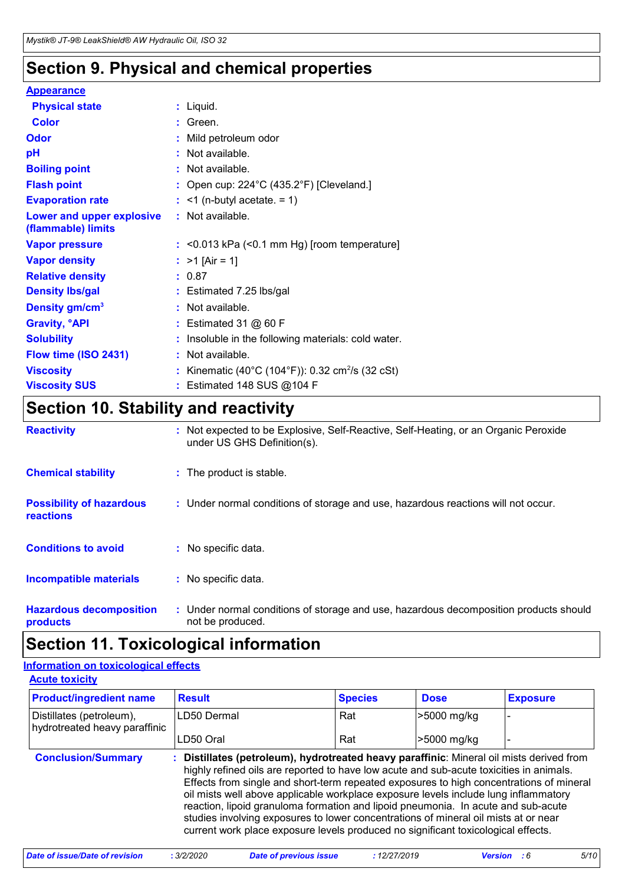# **Section 9. Physical and chemical properties**

### **Appearance**

| <b>Physical state</b>                           | : Liquid.                                                    |
|-------------------------------------------------|--------------------------------------------------------------|
| <b>Color</b>                                    | $:$ Green.                                                   |
| <b>Odor</b>                                     | : Mild petroleum odor                                        |
| pH                                              | : Not available.                                             |
| <b>Boiling point</b>                            | : Not available.                                             |
| <b>Flash point</b>                              | : Open cup: $224^{\circ}$ C (435.2°F) [Cleveland.]           |
| <b>Evaporation rate</b>                         | $:$ <1 (n-butyl acetate. = 1)                                |
| Lower and upper explosive<br>(flammable) limits | : Not available.                                             |
| <b>Vapor pressure</b>                           | $:$ <0.013 kPa (<0.1 mm Hg) [room temperature]               |
| <b>Vapor density</b>                            | : $>1$ [Air = 1]                                             |
| <b>Relative density</b>                         | : 0.87                                                       |
| <b>Density Ibs/gal</b>                          | : Estimated 7.25 lbs/gal                                     |
| Density gm/cm <sup>3</sup>                      | : Not available.                                             |
| <b>Gravity, <sup>o</sup>API</b>                 | : Estimated 31 $@$ 60 F                                      |
| <b>Solubility</b>                               | : Insoluble in the following materials: cold water.          |
| Flow time (ISO 2431)                            | : Not available.                                             |
| <b>Viscosity</b>                                | : Kinematic (40°C (104°F)): 0.32 cm <sup>2</sup> /s (32 cSt) |
| <b>Viscosity SUS</b>                            | : Estimated 148 SUS @104 F                                   |

# **Section 10. Stability and reactivity**

| <b>Reactivity</b>                                   | : Not expected to be Explosive, Self-Reactive, Self-Heating, or an Organic Peroxide<br>under US GHS Definition(s). |
|-----------------------------------------------------|--------------------------------------------------------------------------------------------------------------------|
| <b>Chemical stability</b>                           | : The product is stable.                                                                                           |
| <b>Possibility of hazardous</b><br><b>reactions</b> | : Under normal conditions of storage and use, hazardous reactions will not occur.                                  |
| <b>Conditions to avoid</b>                          | : No specific data.                                                                                                |
| <b>Incompatible materials</b>                       | : No specific data.                                                                                                |
| <b>Hazardous decomposition</b><br>products          | : Under normal conditions of storage and use, hazardous decomposition products should<br>not be produced.          |

# **Section 11. Toxicological information**

#### **Acute toxicity Information on toxicological effects**

| <b><i>LAND MAINLY</i></b>                                 |               |                |             |                 |
|-----------------------------------------------------------|---------------|----------------|-------------|-----------------|
| <b>Product/ingredient name</b>                            | <b>Result</b> | <b>Species</b> | <b>Dose</b> | <b>Exposure</b> |
| Distillates (petroleum),<br>hydrotreated heavy paraffinic | LD50 Dermal   | Rat            | -5000 mg/kg |                 |
|                                                           | LD50 Oral     | Rat            | >5000 mg/kg |                 |

| : Distillates (petroleum), hydrotreated heavy paraffinic: Mineral oil mists derived from<br>highly refined oils are reported to have low acute and sub-acute toxicities in animals.                                                                           |
|---------------------------------------------------------------------------------------------------------------------------------------------------------------------------------------------------------------------------------------------------------------|
| Effects from single and short-term repeated exposures to high concentrations of mineral<br>oil mists well above applicable workplace exposure levels include lung inflammatory                                                                                |
| reaction, lipoid granuloma formation and lipoid pneumonia. In acute and sub-acute<br>studies involving exposures to lower concentrations of mineral oil mists at or near<br>current work place exposure levels produced no significant toxicological effects. |
|                                                                                                                                                                                                                                                               |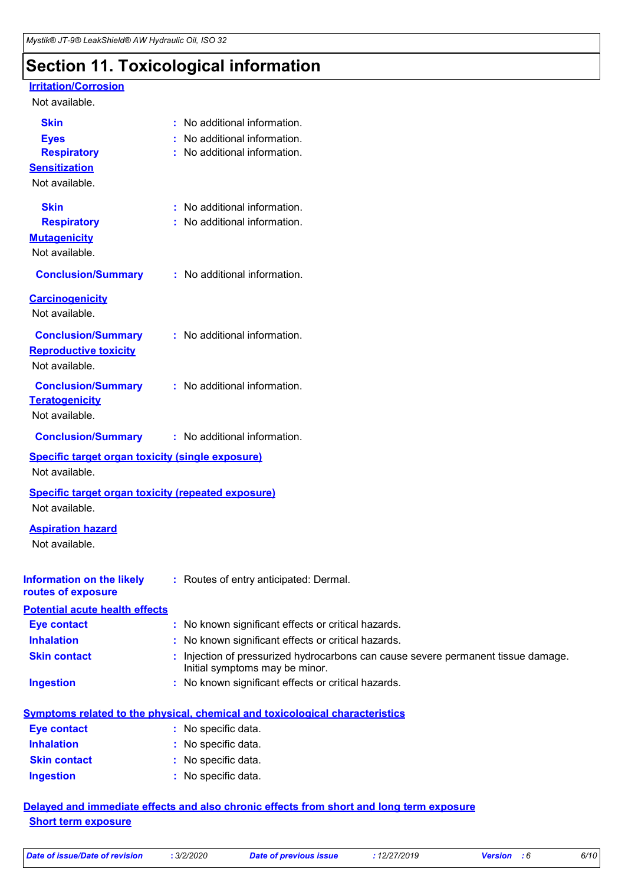# **Section 11. Toxicological information**

#### **Irritation/Corrosion**

#### Not available.

| <b>Skin</b>                                               | : No additional information.                                                                                      |
|-----------------------------------------------------------|-------------------------------------------------------------------------------------------------------------------|
| <b>Eyes</b>                                               | No additional information.                                                                                        |
| <b>Respiratory</b>                                        | No additional information.                                                                                        |
| <b>Sensitization</b>                                      |                                                                                                                   |
| Not available.                                            |                                                                                                                   |
| <b>Skin</b>                                               | : No additional information.                                                                                      |
| <b>Respiratory</b>                                        | No additional information.                                                                                        |
| <b>Mutagenicity</b>                                       |                                                                                                                   |
| Not available.                                            |                                                                                                                   |
| <b>Conclusion/Summary</b>                                 | : No additional information.                                                                                      |
| <b>Carcinogenicity</b>                                    |                                                                                                                   |
| Not available.                                            |                                                                                                                   |
| <b>Conclusion/Summary</b>                                 | : No additional information.                                                                                      |
| <b>Reproductive toxicity</b>                              |                                                                                                                   |
| Not available.                                            |                                                                                                                   |
| <b>Conclusion/Summary</b>                                 | : No additional information.                                                                                      |
| <b>Teratogenicity</b>                                     |                                                                                                                   |
| Not available.                                            |                                                                                                                   |
| <b>Conclusion/Summary</b>                                 | : No additional information.                                                                                      |
| <b>Specific target organ toxicity (single exposure)</b>   |                                                                                                                   |
| Not available.                                            |                                                                                                                   |
| <b>Specific target organ toxicity (repeated exposure)</b> |                                                                                                                   |
| Not available.                                            |                                                                                                                   |
| <b>Aspiration hazard</b>                                  |                                                                                                                   |
| Not available.                                            |                                                                                                                   |
|                                                           |                                                                                                                   |
| <b>Information on the likely</b>                          | : Routes of entry anticipated: Dermal.                                                                            |
| routes of exposure                                        |                                                                                                                   |
| <b>Potential acute health effects</b>                     |                                                                                                                   |
| <b>Eye contact</b>                                        | : No known significant effects or critical hazards.                                                               |
| <b>Inhalation</b>                                         | : No known significant effects or critical hazards.                                                               |
| <b>Skin contact</b>                                       | Injection of pressurized hydrocarbons can cause severe permanent tissue damage.<br>Initial symptoms may be minor. |
| <b>Ingestion</b>                                          | : No known significant effects or critical hazards.                                                               |
|                                                           |                                                                                                                   |
|                                                           | <b>Symptoms related to the physical, chemical and toxicological characteristics</b>                               |
| <b>Eye contact</b><br><b>Inhalation</b>                   | : No specific data.                                                                                               |
|                                                           | : No specific data.<br>والتكافي والمراجا                                                                          |

#### **Skin contact Ingestion** No specific data. **:** No specific data. **:**

#### **Delayed and immediate effects and also chronic effects from short and long term exposure Short term exposure**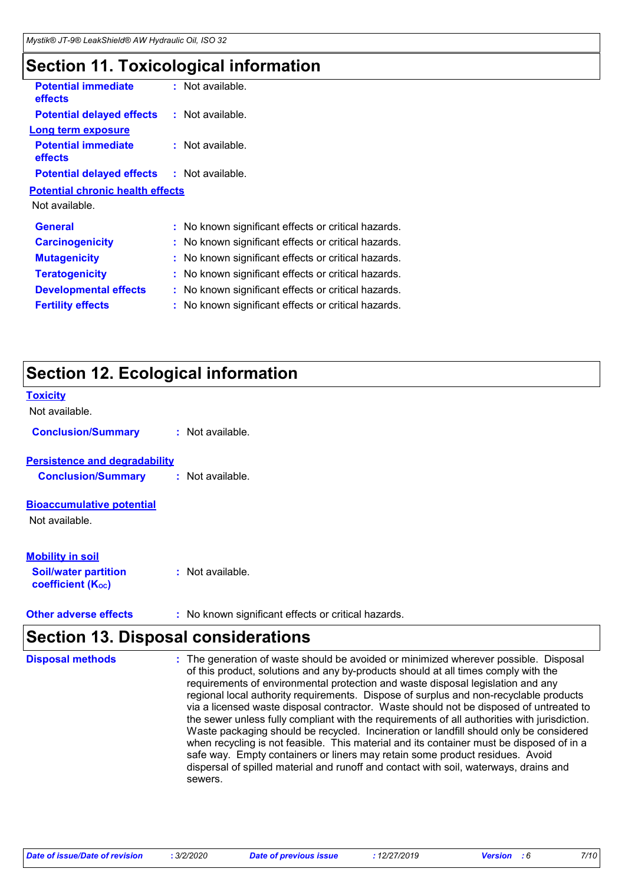# **Section 11. Toxicological information**

| <b>Potential immediate</b><br><b>effects</b> |   | $:$ Not available.                                  |
|----------------------------------------------|---|-----------------------------------------------------|
| <b>Potential delayed effects</b>             |   | $:$ Not available.                                  |
| Long term exposure                           |   |                                                     |
| <b>Potential immediate</b><br>effects        |   | : Not available.                                    |
| <b>Potential delayed effects</b>             |   | : Not available.                                    |
| <b>Potential chronic health effects</b>      |   |                                                     |
| Not available.                               |   |                                                     |
| <b>General</b>                               |   | : No known significant effects or critical hazards. |
| <b>Carcinogenicity</b>                       |   | : No known significant effects or critical hazards. |
| <b>Mutagenicity</b>                          |   | : No known significant effects or critical hazards. |
| <b>Teratogenicity</b>                        |   | No known significant effects or critical hazards.   |
| <b>Developmental effects</b>                 |   | : No known significant effects or critical hazards. |
| <b>Fertility effects</b>                     | ÷ | No known significant effects or critical hazards.   |
|                                              |   |                                                     |

# **Section 12. Ecological information**

| <b>Toxicity</b>                                                                    |                |
|------------------------------------------------------------------------------------|----------------|
| Not available.                                                                     |                |
| <b>Conclusion/Summary</b>                                                          | Not available. |
| <b>Persistence and degradability</b><br><b>Conclusion/Summary</b>                  | Not available. |
| <b>Bioaccumulative potential</b><br>Not available.                                 |                |
| <b>Mobility in soil</b><br><b>Soil/water partition</b><br><b>coefficient (Koc)</b> | Not available. |

**Other adverse effects** : No known significant effects or critical hazards.

# **Section 13. Disposal considerations**

| <b>Disposal methods</b> | : The generation of waste should be avoided or minimized wherever possible. Disposal<br>of this product, solutions and any by-products should at all times comply with the<br>requirements of environmental protection and waste disposal legislation and any<br>regional local authority requirements. Dispose of surplus and non-recyclable products<br>via a licensed waste disposal contractor. Waste should not be disposed of untreated to<br>the sewer unless fully compliant with the requirements of all authorities with jurisdiction.<br>Waste packaging should be recycled. Incineration or landfill should only be considered<br>when recycling is not feasible. This material and its container must be disposed of in a<br>safe way. Empty containers or liners may retain some product residues. Avoid<br>dispersal of spilled material and runoff and contact with soil, waterways, drains and<br>sewers. |
|-------------------------|----------------------------------------------------------------------------------------------------------------------------------------------------------------------------------------------------------------------------------------------------------------------------------------------------------------------------------------------------------------------------------------------------------------------------------------------------------------------------------------------------------------------------------------------------------------------------------------------------------------------------------------------------------------------------------------------------------------------------------------------------------------------------------------------------------------------------------------------------------------------------------------------------------------------------|
|-------------------------|----------------------------------------------------------------------------------------------------------------------------------------------------------------------------------------------------------------------------------------------------------------------------------------------------------------------------------------------------------------------------------------------------------------------------------------------------------------------------------------------------------------------------------------------------------------------------------------------------------------------------------------------------------------------------------------------------------------------------------------------------------------------------------------------------------------------------------------------------------------------------------------------------------------------------|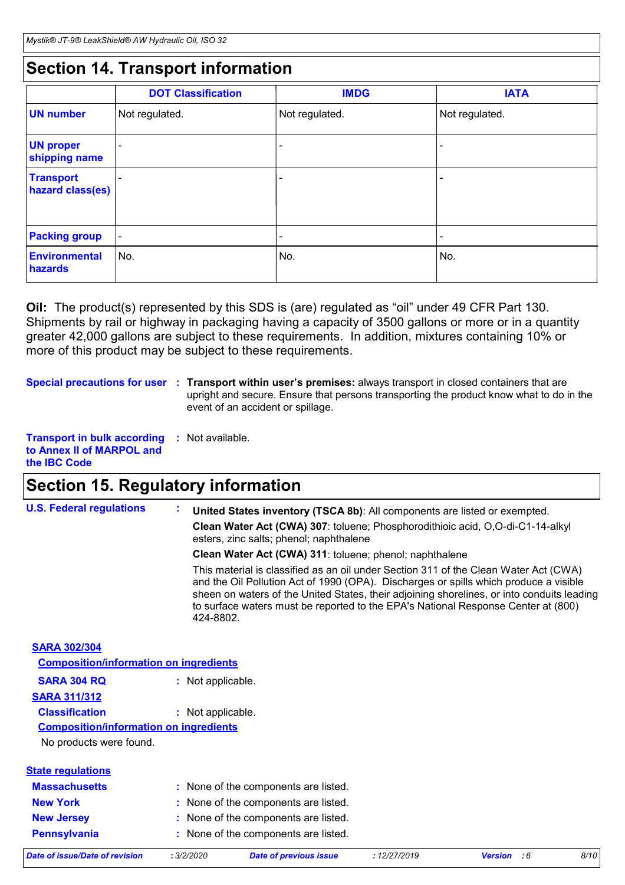# **Section 14. Transport information**

|                                      | <b>DOT Classification</b> | <b>IMDG</b>    | <b>IATA</b>    |
|--------------------------------------|---------------------------|----------------|----------------|
| <b>UN number</b>                     | Not regulated.            | Not regulated. | Not regulated. |
| <b>UN proper</b><br>shipping name    |                           |                |                |
| <b>Transport</b><br>hazard class(es) |                           |                |                |
| <b>Packing group</b>                 | $\overline{\phantom{a}}$  |                | -              |
| <b>Environmental</b><br>hazards      | No.                       | No.            | No.            |

**Oil:** The product(s) represented by this SDS is (are) regulated as "oil" under 49 CFR Part 130. Shipments by rail or highway in packaging having a capacity of 3500 gallons or more or in a quantity greater 42,000 gallons are subject to these requirements. In addition, mixtures containing 10% or more of this product may be subject to these requirements.

**Special precautions for user** : Transport within user's premises: always transport in closed containers that are upright and secure. Ensure that persons transporting the product know what to do in the event of an accident or spillage.

**Transport in bulk according :** Not available. **to Annex II of MARPOL and the IBC Code**

### **Section 15. Regulatory information**

| <b>U.S. Federal regulations</b>               | United States inventory (TSCA 8b): All components are listed or exempted.                                                                                                                                                                                                                                                                                                     |  |  |  |  |  |
|-----------------------------------------------|-------------------------------------------------------------------------------------------------------------------------------------------------------------------------------------------------------------------------------------------------------------------------------------------------------------------------------------------------------------------------------|--|--|--|--|--|
|                                               | Clean Water Act (CWA) 307: toluene; Phosphorodithioic acid, O,O-di-C1-14-alkyl<br>esters, zinc salts; phenol; naphthalene                                                                                                                                                                                                                                                     |  |  |  |  |  |
|                                               | Clean Water Act (CWA) 311: toluene; phenol; naphthalene                                                                                                                                                                                                                                                                                                                       |  |  |  |  |  |
|                                               | This material is classified as an oil under Section 311 of the Clean Water Act (CWA)<br>and the Oil Pollution Act of 1990 (OPA). Discharges or spills which produce a visible<br>sheen on waters of the United States, their adjoining shorelines, or into conduits leading<br>to surface waters must be reported to the EPA's National Response Center at (800)<br>424-8802. |  |  |  |  |  |
| <b>SARA 302/304</b>                           |                                                                                                                                                                                                                                                                                                                                                                               |  |  |  |  |  |
| <b>Composition/information on ingredients</b> |                                                                                                                                                                                                                                                                                                                                                                               |  |  |  |  |  |
| <b>SARA 304 RQ</b>                            | : Not applicable.                                                                                                                                                                                                                                                                                                                                                             |  |  |  |  |  |
| <b>SARA 311/312</b>                           |                                                                                                                                                                                                                                                                                                                                                                               |  |  |  |  |  |
| <b>Classification</b>                         | : Not applicable.                                                                                                                                                                                                                                                                                                                                                             |  |  |  |  |  |
| <b>Composition/information on ingredients</b> |                                                                                                                                                                                                                                                                                                                                                                               |  |  |  |  |  |
| No products were found.                       |                                                                                                                                                                                                                                                                                                                                                                               |  |  |  |  |  |
| <b>State regulations</b>                      |                                                                                                                                                                                                                                                                                                                                                                               |  |  |  |  |  |
| <b>Massachusetts</b>                          | : None of the components are listed.                                                                                                                                                                                                                                                                                                                                          |  |  |  |  |  |
| <b>New York</b>                               | : None of the components are listed.                                                                                                                                                                                                                                                                                                                                          |  |  |  |  |  |
| <b>New Jersey</b>                             | : None of the components are listed.                                                                                                                                                                                                                                                                                                                                          |  |  |  |  |  |
| <b>Pennsylvania</b>                           | : None of the components are listed.                                                                                                                                                                                                                                                                                                                                          |  |  |  |  |  |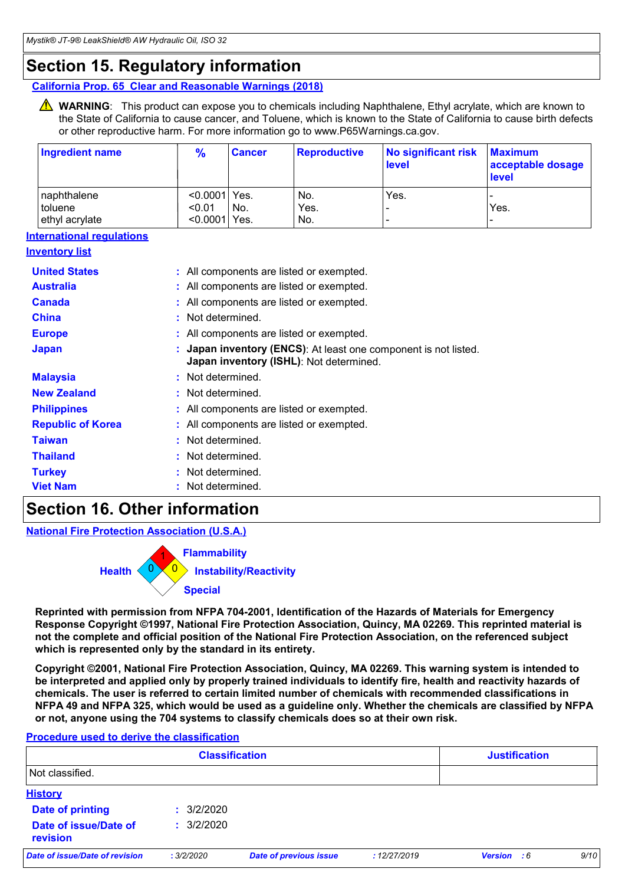### **Section 15. Regulatory information**

**California Prop. 65 Clear and Reasonable Warnings (2018)**

WARNING: This product can expose you to chemicals including Naphthalene, Ethyl acrylate, which are known to the State of California to cause cancer, and Toluene, which is known to the State of California to cause birth defects or other reproductive harm. For more information go to www.P65Warnings.ca.gov.

| <b>Ingredient name</b>           | $\frac{9}{6}$                                                                                            | <b>Cancer</b>                          | <b>Reproductive</b>                      | <b>No significant risk</b><br>level | <b>Maximum</b><br>acceptable dosage<br><b>level</b> |  |  |
|----------------------------------|----------------------------------------------------------------------------------------------------------|----------------------------------------|------------------------------------------|-------------------------------------|-----------------------------------------------------|--|--|
| naphthalene                      | < 0.0001                                                                                                 | Yes.                                   | No.                                      | Yes.                                |                                                     |  |  |
| toluene                          | < 0.01                                                                                                   | No.                                    | Yes.                                     |                                     | Yes.                                                |  |  |
| ethyl acrylate                   | <0.0001 Yes.                                                                                             |                                        | No.                                      |                                     |                                                     |  |  |
| <b>International regulations</b> |                                                                                                          |                                        |                                          |                                     |                                                     |  |  |
| <u>Inventory list</u>            |                                                                                                          |                                        |                                          |                                     |                                                     |  |  |
| <b>United States</b>             |                                                                                                          |                                        | : All components are listed or exempted. |                                     |                                                     |  |  |
| <b>Australia</b>                 |                                                                                                          |                                        | All components are listed or exempted.   |                                     |                                                     |  |  |
| <b>Canada</b>                    |                                                                                                          |                                        | : All components are listed or exempted. |                                     |                                                     |  |  |
| <b>China</b>                     | Not determined.                                                                                          |                                        |                                          |                                     |                                                     |  |  |
| <b>Europe</b>                    |                                                                                                          | All components are listed or exempted. |                                          |                                     |                                                     |  |  |
| <b>Japan</b>                     | Japan inventory (ENCS): At least one component is not listed.<br>Japan inventory (ISHL): Not determined. |                                        |                                          |                                     |                                                     |  |  |
| <b>Malaysia</b>                  | Not determined.                                                                                          |                                        |                                          |                                     |                                                     |  |  |
| <b>New Zealand</b>               | Not determined.                                                                                          |                                        |                                          |                                     |                                                     |  |  |
| <b>Philippines</b>               | : All components are listed or exempted.                                                                 |                                        |                                          |                                     |                                                     |  |  |
| <b>Republic of Korea</b>         | All components are listed or exempted.                                                                   |                                        |                                          |                                     |                                                     |  |  |
| <b>Taiwan</b>                    | Not determined.                                                                                          |                                        |                                          |                                     |                                                     |  |  |
| <b>Thailand</b>                  | Not determined.                                                                                          |                                        |                                          |                                     |                                                     |  |  |
| <b>Turkey</b>                    | Not determined.                                                                                          |                                        |                                          |                                     |                                                     |  |  |
| <b>Viet Nam</b>                  | Not determined.                                                                                          |                                        |                                          |                                     |                                                     |  |  |
|                                  |                                                                                                          |                                        |                                          |                                     |                                                     |  |  |

### **Section 16. Other information**

**National Fire Protection Association (U.S.A.)**



**Reprinted with permission from NFPA 704-2001, Identification of the Hazards of Materials for Emergency Response Copyright ©1997, National Fire Protection Association, Quincy, MA 02269. This reprinted material is not the complete and official position of the National Fire Protection Association, on the referenced subject which is represented only by the standard in its entirety.**

**Copyright ©2001, National Fire Protection Association, Quincy, MA 02269. This warning system is intended to be interpreted and applied only by properly trained individuals to identify fire, health and reactivity hazards of chemicals. The user is referred to certain limited number of chemicals with recommended classifications in NFPA 49 and NFPA 325, which would be used as a guideline only. Whether the chemicals are classified by NFPA or not, anyone using the 704 systems to classify chemicals does so at their own risk.**

#### **Procedure used to derive the classification**

| <b>Classification</b> |                               |             |  |                                            |  |  |
|-----------------------|-------------------------------|-------------|--|--------------------------------------------|--|--|
|                       |                               |             |  |                                            |  |  |
|                       |                               |             |  |                                            |  |  |
| : 3/2/2020            |                               |             |  |                                            |  |  |
| : 3/2/2020            |                               |             |  |                                            |  |  |
| : 3/2/2020            | <b>Date of previous issue</b> | :12/27/2019 |  | 9/10                                       |  |  |
|                       |                               |             |  | <b>Justification</b><br><b>Version</b> : 6 |  |  |